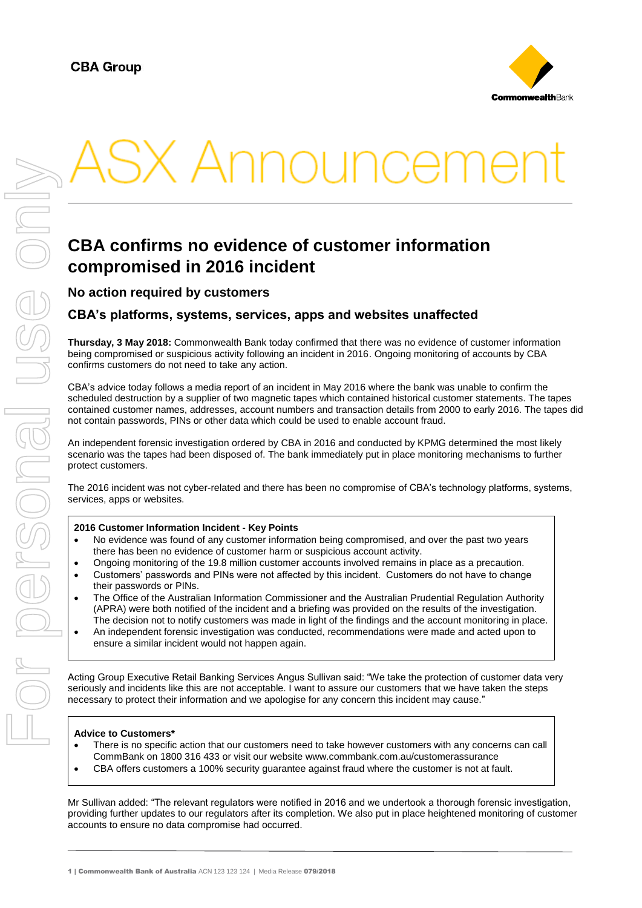

# K Announceme

## **CBA confirms no evidence of customer information compromised in 2016 incident**

**No action required by customers**

### **CBA's platforms, systems, services, apps and websites unaffected**

**Thursday, 3 May 2018:** Commonwealth Bank today confirmed that there was no evidence of customer information being compromised or suspicious activity following an incident in 2016. Ongoing monitoring of accounts by CBA confirms customers do not need to take any action.

CBA's advice today follows a media report of an incident in May 2016 where the bank was unable to confirm the scheduled destruction by a supplier of two magnetic tapes which contained historical customer statements. The tapes contained customer names, addresses, account numbers and transaction details from 2000 to early 2016. The tapes did not contain passwords, PINs or other data which could be used to enable account fraud.

An independent forensic investigation ordered by CBA in 2016 and conducted by KPMG determined the most likely scenario was the tapes had been disposed of. The bank immediately put in place monitoring mechanisms to further protect customers.

The 2016 incident was not cyber-related and there has been no compromise of CBA's technology platforms, systems, services, apps or websites.

#### **2016 Customer Information Incident - Key Points**

- No evidence was found of any customer information being compromised, and over the past two years there has been no evidence of customer harm or suspicious account activity.
- Ongoing monitoring of the 19.8 million customer accounts involved remains in place as a precaution. Customers' passwords and PINs were not affected by this incident. Customers do not have to change
- their passwords or PINs.
- The Office of the Australian Information Commissioner and the Australian Prudential Regulation Authority (APRA) were both notified of the incident and a briefing was provided on the results of the investigation. The decision not to notify customers was made in light of the findings and the account monitoring in place.
- An independent forensic investigation was conducted, recommendations were made and acted upon to ensure a similar incident would not happen again.

Acting Group Executive Retail Banking Services Angus Sullivan said: "We take the protection of customer data very seriously and incidents like this are not acceptable. I want to assure our customers that we have taken the steps necessary to protect their information and we apologise for any concern this incident may cause."

#### **Advice to Customers\***

- There is no specific action that our customers need to take however customers with any concerns can call CommBank on 1800 316 433 or visit our website www.commbank.com.au/customerassurance
- CBA offers customers a 100% security guarantee against fraud where the customer is not at fault.

Mr Sullivan added: "The relevant regulators were notified in 2016 and we undertook a thorough forensic investigation, providing further updates to our regulators after its completion. We also put in place heightened monitoring of customer accounts to ensure no data compromise had occurred.